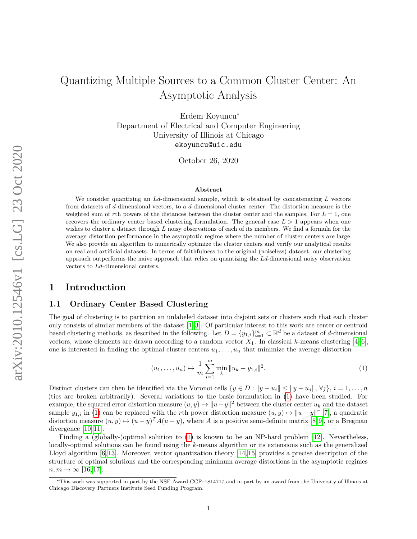# Quantizing Multiple Sources to a Common Cluster Center: An Asymptotic Analysis

Erdem Koyuncu<sup>∗</sup> Department of Electrical and Computer Engineering University of Illinois at Chicago ekoyuncu@uic.edu

October 26, 2020

#### **Abstract**

We consider quantizing an *Ld*-dimensional sample, which is obtained by concatenating *L* vectors from datasets of *d*-dimensional vectors, to a *d*-dimensional cluster center. The distortion measure is the weighted sum of rth powers of the distances between the cluster center and the samples. For  $L = 1$ , one recovers the ordinary center based clustering formulation. The general case  $L > 1$  appears when one wishes to cluster a dataset through *L* noisy observations of each of its members. We find a formula for the average distortion performance in the asymptotic regime where the number of cluster centers are large. We also provide an algorithm to numerically optimize the cluster centers and verify our analytical results on real and artificial datasets. In terms of faithfulness to the original (noiseless) dataset, our clustering approach outperforms the naive approach that relies on quantizing the *Ld*-dimensional noisy observation vectors to *Ld*-dimensional centers.

### **1 Introduction**

#### **1.1 Ordinary Center Based Clustering**

The goal of clustering is to partition an unlabeled dataset into disjoint sets or clusters such that each cluster only consists of similar members of the dataset [\[1–](#page-10-0)[3\]](#page-10-1). Of particular interest to this work are center or centroid based clustering methods, as described in the following. Let  $D = \{y_{1,i}\}_{i=1}^m \subset \mathbb{R}^d$  be a dataset of *d*-dimensional vectors, whose elements are drawn according to a random vector  $X_1$ . In classical *k*-means clustering [\[4–](#page-10-2)[6\]](#page-10-3), one is interested in finding the optimal cluster centers  $u_1, \ldots, u_n$  that minimize the average distortion

<span id="page-0-0"></span>
$$
(u_1, \dots, u_n) \mapsto \frac{1}{m} \sum_{i=1}^m \min_k ||u_k - y_{1,i}||^2.
$$
 (1)

Distinct clusters can then be identified via the Voronoi cells  $\{y \in D : ||y - u_i|| \le ||y - u_j||, \forall j\}, i = 1, \ldots, n$ (ties are broken arbitrarily). Several variations to the basic formulation in [\(1\)](#page-0-0) have been studied. For example, the squared error distortion measure  $(u, y) \mapsto ||u - y||^2$  between the cluster center  $u_k$  and the dataset sample  $y_{1,i}$  in [\(1\)](#page-0-0) can be replaced with the *r*th power distortion measure  $(u, y) \mapsto ||u - y||^r$  [\[7\]](#page-11-0), a quadratic distortion measure  $(u, y) \mapsto (u - y)^T A (u - y)$ , where *A* is a positive semi-definite matrix [\[8,](#page-11-1)9], or a Bregman divergence [\[10,](#page-11-3) [11\]](#page-11-4).

Finding a (globally-)optimal solution to [\(1\)](#page-0-0) is known to be an NP-hard problem [\[12\]](#page-11-5). Nevertheless, locally-optimal solutions can be found using the *k*-means algorithm or its extensions such as the generalized Lloyd algorithm [\[6,](#page-10-3) [13\]](#page-11-6). Moreover, vector quantization theory [\[14,](#page-11-7) [15\]](#page-11-8) provides a precise description of the structure of optimal solutions and the corresponding minimum average distortions in the asymptotic regimes  $n, m \rightarrow \infty$  [\[16,](#page-11-9)17].

<sup>∗</sup>This work was supported in part by the NSF Award CCF–1814717 and in part by an award from the University of Illinois at Chicago Discovery Partners Institute Seed Funding Program.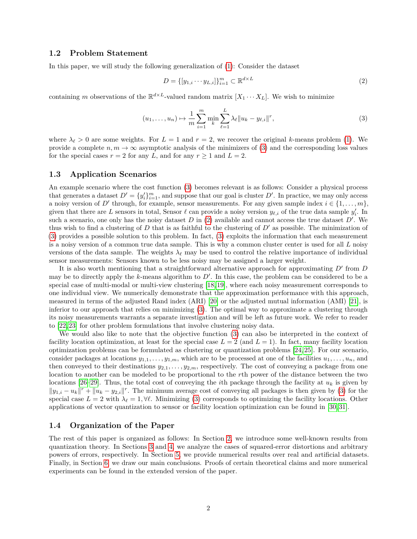#### **1.2 Problem Statement**

In this paper, we will study the following generalization of [\(1\)](#page-0-0): Consider the dataset

<span id="page-1-1"></span><span id="page-1-0"></span>
$$
D = \{ [y_{1,i} \cdots y_{L,i}] \}_{i=1}^m \subset \mathbb{R}^{d \times L}
$$
 (2)

containing *m* observations of the  $\mathbb{R}^{d \times L}$ -valued random matrix  $[X_1 \cdots X_L]$ . We wish to minimize

$$
(u_1, \dots, u_n) \mapsto \frac{1}{m} \sum_{i=1}^m \min_k \sum_{\ell=1}^L \lambda_\ell \| u_k - y_{\ell,i} \|^r,
$$
\n(3)

where  $\lambda_{\ell} > 0$  are some weights. For  $L = 1$  and  $r = 2$ , we recover the original *k*-means problem [\(1\)](#page-0-0). We provide a complete  $n, m \to \infty$  asymptotic analysis of the minimizers of [\(3\)](#page-1-0) and the corresponding loss values for the special cases  $r = 2$  for any  $L$ , and for any  $r \ge 1$  and  $L = 2$ .

#### <span id="page-1-2"></span>**1.3 Application Scenarios**

An example scenario where the cost function [\(3\)](#page-1-0) becomes relevant is as follows: Consider a physical process that generates a dataset  $D' = \{y_i'\}_{i=1}^m$ , and suppose that our goal is cluster  $D'$ . In practice, we may only access a noisy version of *D'* through, for example, sensor measurements. For any given sample index  $i \in \{1, \ldots, m\}$ , given that there are L sensors in total, Sensor  $\ell$  can provide a noisy version  $y_{\ell,i}$  of the true data sample  $y'_i$ . In such a scenario, one only has the noisy dataset  $D$  in  $(2)$  available and cannot access the true dataset  $D'$ . We thus wish to find a clustering of  $D$  that is as faithful to the clustering of  $D'$  as possible. The minimization of [\(3\)](#page-1-0) provides a possible solution to this problem. In fact, [\(3\)](#page-1-0) exploits the information that each measurement is a noisy version of a common true data sample. This is why a common cluster center is used for all *L* noisy versions of the data sample. The weights  $\lambda_\ell$  may be used to control the relative importance of individual sensor measurements: Sensors known to be less noisy may be assigned a larger weight.

It is also worth mentioning that a straightforward alternative approach for approximating  $D'$  from  $D$ may be to directly apply the  $k$ -means algorithm to  $D'$ . In this case, the problem can be considered to be a special case of multi-modal or multi-view clustering [\[18,](#page-11-11) [19\]](#page-11-12), where each noisy measurement corresponds to one individual view. We numerically demonstrate that the approximation performance with this approach, measured in terms of the adjusted Rand index (ARI) [\[20\]](#page-11-13) or the adjusted mutual information (AMI) [\[21\]](#page-11-14), is inferior to our approach that relies on minimizing [\(3\)](#page-1-0). The optimal way to approximate a clustering through its noisy measurements warrants a separate investigation and will be left as future work. We refer to reader to [\[22,](#page-11-15) [23\]](#page-11-16) for other problem formulations that involve clustering noisy data.

We would also like to note that the objective function [\(3\)](#page-1-0) can also be interpreted in the context of facility location optimization, at least for the special case  $L = 2$  (and  $L = 1$ ). In fact, many facility location optimization problems can be formulated as clustering or quantization problems [\[24,](#page-11-17) [25\]](#page-11-18). For our scenario, consider packages at locations  $y_{1,1}, \ldots, y_{1,m}$ , which are to be processed at one of the facilities  $u_1, \ldots, u_n$ , and then conveyed to their destinations  $y_{2,1}, \ldots, y_{2,m}$ , respectively. The cost of conveying a package from one location to another can be modeled to be proportional to the *r*th power of the distance between the two locations [\[26–](#page-11-19)[29\]](#page-12-0). Thus, the total cost of conveying the *i*th package through the facility at  $u_k$  is given by  $||y_{1,i} - u_k||^r + ||u_k - y_{2,i}||^r$ . The minimum average cost of conveying all packages is then given by [\(3\)](#page-1-0) for the special case  $L = 2$  with  $\lambda_{\ell} = 1, \forall \ell$ . Minimizing [\(3\)](#page-1-0) corresponds to optimizing the facility locations. Other applications of vector quantization to sensor or facility location optimization can be found in [\[30,](#page-12-1) [31\]](#page-12-2).

#### **1.4 Organization of the Paper**

The rest of this paper is organized as follows: In Section [2,](#page-2-0) we introduce some well-known results from quantization theory. In Sections [3](#page-2-1) and [4,](#page-3-0) we analyze the cases of squared-error distortions and arbitrary powers of errors, respectively. In Section [5,](#page-7-0) we provide numerical results over real and artificial datasets. Finally, in Section [6,](#page-10-4) we draw our main conclusions. Proofs of certain theoretical claims and more numerical experiments can be found in the extended version of the paper.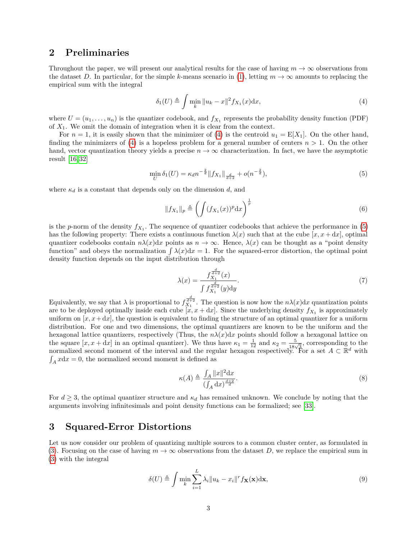## <span id="page-2-0"></span>**2 Preliminaries**

Throughout the paper, we will present our analytical results for the case of having  $m \to \infty$  observations from the dataset *D*. In particular, for the simple *k*-means scenario in [\(1\)](#page-0-0), letting  $m \to \infty$  amounts to replacing the empirical sum with the integral

<span id="page-2-2"></span>
$$
\delta_1(U) \triangleq \int \min_k \|u_k - x\|^2 f_{X_1}(x) \mathrm{d}x,\tag{4}
$$

where  $U = (u_1, \ldots, u_n)$  is the quantizer codebook, and  $f_{X_1}$  represents the probability density function (PDF) of *X*1. We omit the domain of integration when it is clear from the context.

For  $n = 1$ , it is easily shown that the minimizer of [\(4\)](#page-2-2) is the centroid  $u_1 = E[X_1]$ . On the other hand, finding the minimizers of [\(4\)](#page-2-2) is a hopeless problem for a general number of centers  $n > 1$ . On the other hand, vector quantization theory yields a precise  $n \to \infty$  characterization. In fact, we have the asymptotic result [\[16,](#page-11-9) [32\]](#page-12-3)

$$
\min_{U} \delta_1(U) = \kappa_d n^{-\frac{2}{d}} \|f_{X_1}\|_{\frac{d}{d+2}} + o(n^{-\frac{2}{d}}),\tag{5}
$$

where  $\kappa_d$  is a constant that depends only on the dimension  $d$ , and

<span id="page-2-3"></span>
$$
||f_{X_1}||_p \triangleq \left(\int (f_{X_1}(x))^p dx\right)^{\frac{1}{p}}\tag{6}
$$

is the *p*-norm of the density  $f_{X_1}$ . The sequence of quantizer codebooks that achieve the performance in  $(5)$ has the following property: There exists a continuous function  $\lambda(x)$  such that at the cube  $[x, x + dx]$ , optimal quantizer codebooks contain  $n\lambda(x)dx$  points as  $n \to \infty$ . Hence,  $\lambda(x)$  can be thought as a "point density function" and obeys the normalization  $\int \lambda(x) dx = 1$ . For the squared-error distortion, the optimal point density function depends on the input distribution through

<span id="page-2-5"></span>
$$
\lambda(x) = \frac{f_{X_1}^{\frac{d}{d+2}}(x)}{\int f_{X_1}^{\frac{d}{d+2}}(y) \mathrm{d}y}.\tag{7}
$$

Equivalently, we say that  $\lambda$  is proportional to  $f_{X_1}^{\frac{d}{d+2}}$ . The question is now how the  $n\lambda(x)dx$  quantization points are to be deployed optimally inside each cube  $[x, x + dx]$ . Since the underlying density  $f_{X_1}$  is approximately uniform on  $[x, x+dx]$ , the question is equivalent to finding the structure of an optimal quantizer for a uniform distribution. For one and two dimensions, the optimal quantizers are known to be the uniform and the hexagonal lattice quantizers, respectively (Thus, the  $n\lambda(x)dx$  points should follow a hexagonal lattice on the square  $[x, x + dx]$  in an optimal quantizer). We thus have  $\kappa_1 = \frac{1}{12}$  and  $\kappa_2 = \frac{5}{18\sqrt{3}}$ , corresponding to the normalized second moment of the interval and the regular hexagon respectively. For a set  $A \subset \mathbb{R}^d$  with  $\int_A x \, dx = 0$ , the normalized second moment is defined as

<span id="page-2-4"></span>
$$
\kappa(A) \triangleq \frac{\int_A ||x||^2 \mathrm{d}x}{\left(\int_A \mathrm{d}x\right)^{\frac{d+2}{d}}}.\tag{8}
$$

For  $d \geq 3$ , the optimal quantizer structure and  $\kappa_d$  has remained unknown. We conclude by noting that the arguments involving infinitesimals and point density functions can be formalized; see [\[33\]](#page-12-4).

## <span id="page-2-1"></span>**3 Squared-Error Distortions**

Let us now consider our problem of quantizing multiple sources to a common cluster center, as formulated in [\(3\)](#page-1-0). Focusing on the case of having  $m \to \infty$  observations from the dataset D, we replace the empirical sum in [\(3\)](#page-1-0) with the integral

$$
\delta(U) \triangleq \int \min_{k} \sum_{i=1}^{L} \lambda_i ||u_k - x_i||^r f_{\mathbf{X}}(\mathbf{x}) \mathrm{d}\mathbf{x},\tag{9}
$$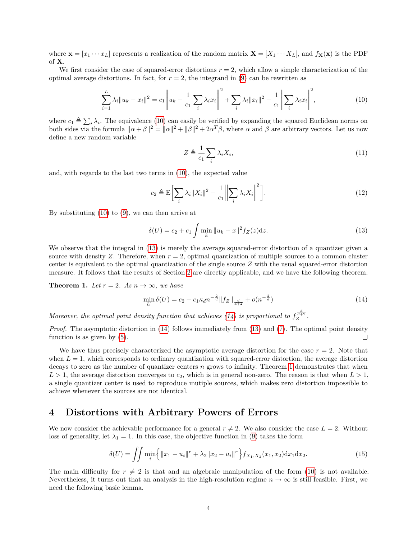where  $\mathbf{x} = [x_1 \cdots x_L]$  represents a realization of the random matrix  $\mathbf{X} = [X_1 \cdots X_L]$ , and  $f_{\mathbf{X}}(\mathbf{x})$  is the PDF of **X**.

We first consider the case of squared-error distortions  $r = 2$ , which allow a simple characterization of the optimal average distortions. In fact, for  $r = 2$ , the integrand in [\(9\)](#page-2-4) can be rewritten as

$$
\sum_{i=1}^{L} \lambda_i \|u_k - x_i\|^2 = c_1 \left\| u_k - \frac{1}{c_1} \sum_i \lambda_i x_i \right\|^2 + \sum_i \lambda_i \|x_i\|^2 - \frac{1}{c_1} \left\| \sum_i \lambda_i x_i \right\|^2, \tag{10}
$$

where  $c_1 \triangleq \sum_i \lambda_i$ . The equivalence [\(10\)](#page-3-1) can easily be verified by expanding the squared Euclidean norms on *i* both sides via the formula  $\|\alpha + \beta\|^2 = \|\alpha\|^2 + \|\beta\|^2 + 2\alpha^T\beta$ , where *α* and *β* are arbitrary vectors. Let us now define a new random variable

<span id="page-3-2"></span><span id="page-3-1"></span>
$$
Z \triangleq \frac{1}{c_1} \sum_{i} \lambda_i X_i,
$$
\n(11)

and, with regards to the last two terms in [\(10\)](#page-3-1), the expected value

$$
c_2 \triangleq \mathcal{E}\bigg[\sum_i \lambda_i \|X_i\|^2 - \frac{1}{c_1} \bigg\|\sum_i \lambda_i X_i\bigg\|^2\bigg].\tag{12}
$$

By substituting [\(10\)](#page-3-1) to [\(9\)](#page-2-4), we can then arrive at

$$
\delta(U) = c_2 + c_1 \int \min_k \|u_k - x\|^2 f_Z(z) dz.
$$
 (13)

We observe that the integral in [\(13\)](#page-3-2) is merely the average squared-error distortion of a quantizer given a source with density  $Z$ . Therefore, when  $r = 2$ , optimal quantization of multiple sources to a common cluster center is equivalent to the optimal quantization of the single source *Z* with the usual squared-error distortion measure. It follows that the results of Section [2](#page-2-0) are directly applicable, and we have the following theorem.

<span id="page-3-4"></span>**Theorem 1.** Let  $r = 2$ . As  $n \to \infty$ , we have

<span id="page-3-3"></span>
$$
\min_{U} \delta(U) = c_2 + c_1 \kappa_d n^{-\frac{2}{d}} \|f_Z\|_{\frac{d}{d+2}} + o(n^{-\frac{2}{d}})
$$
\n(14)

*Moreover, the optimal point density function that achieves [\(14\)](#page-3-3) is proportional to*  $f_Z^{\frac{d}{d+2}}$ *.* 

*Proof.* The asymptotic distortion in [\(14\)](#page-3-3) follows immediately from [\(13\)](#page-3-2) and [\(7\)](#page-2-5). The optimal point density function is as given by [\(5\)](#page-2-3).  $\Box$ 

We have thus precisely characterized the asymptotic average distortion for the case  $r = 2$ . Note that when  $L = 1$ , which corresponds to ordinary quantization with squared-error distortion, the average distortion decays to zero as the number of quantizer centers *n* grows to infinity. Theorem [1](#page-3-4) demonstrates that when  $L > 1$ , the average distortion converges to  $c_2$ , which is in general non-zero. The reason is that when  $L > 1$ , a single quantizer center is used to reproduce mutiple sources, which makes zero distortion impossible to achieve whenever the sources are not identical.

### <span id="page-3-0"></span>**4 Distortions with Arbitrary Powers of Errors**

We now consider the achievable performance for a general  $r \neq 2$ . We also consider the case  $L = 2$ . Without loss of generality, let  $\lambda_1 = 1$ . In this case, the objective function in [\(9\)](#page-2-4) takes the form

<span id="page-3-5"></span>
$$
\delta(U) = \iint \min_{i} \left\{ ||x_1 - u_i||^r + \lambda_2 ||x_2 - u_i||^r \right\} f_{X_1, X_2}(x_1, x_2) \, dx_1 \, dx_2. \tag{15}
$$

The main difficulty for  $r \neq 2$  is that and an algebraic manipulation of the form [\(10\)](#page-3-1) is not available. Nevertheless, it turns out that an analysis in the high-resolution regime  $n \to \infty$  is still feasible. First, we need the following basic lemma.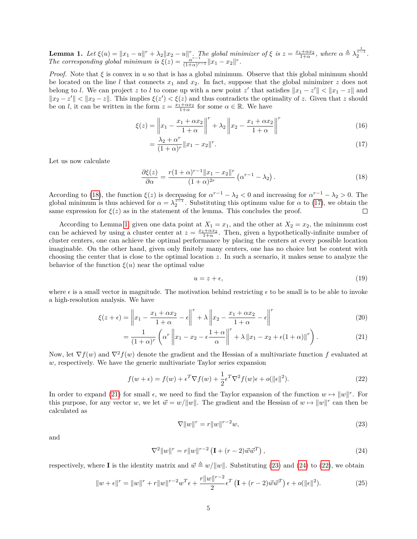<span id="page-4-2"></span>**Lemma 1.** Let  $\xi(u) = ||x_1 - u||^r + \lambda_2 ||x_2 - u||^r$ . The global minimizer of  $\xi$  is  $z = \frac{x_1 + \alpha x_2}{1 + \alpha}$ , where  $\alpha \triangleq \lambda_2^{\frac{1}{r-1}}$ . *The corresponding global minimum is*  $\overline{\xi}(z) = \frac{\alpha^{r-1}}{(1+\alpha)^r}$  $\frac{\alpha^{r-1}}{(1+\alpha)^{r-1}} \|x_1 - x_2\|^r.$ 

*Proof.* Note that  $\xi$  is convex in  $u$  so that is has a global minimum. Observe that this global minimum should be located on the line *l* that connects  $x_1$  and  $x_2$ . In fact, suppose that the global minimizer  $z$  does not belong to *l*. We can project *z* to *l* to come up with a new point *z'* that satisfies  $||x_1 - z'|| < ||x_1 - z||$  and  $||x_2 - z'|| < ||x_2 - z||$ . This implies  $\xi(z') < \xi(z)$  and thus contradicts the optimality of *z*. Given that *z* should be on *l*, it can be written in the form  $z = \frac{x_1 + \alpha x_2}{1 + \alpha}$  for some  $\alpha \in \mathbb{R}$ . We have

$$
\xi(z) = \left\| x_1 - \frac{x_1 + \alpha x_2}{1 + \alpha} \right\|^r + \lambda_2 \left\| x_2 - \frac{x_1 + \alpha x_2}{1 + \alpha} \right\|^r \tag{16}
$$

<span id="page-4-1"></span>
$$
= \frac{\lambda_2 + \alpha^r}{(1 + \alpha)^r} \|x_1 - x_2\|^r.
$$
\n(17)

Let us now calculate

$$
\frac{\partial \xi(z)}{\partial \alpha} = \frac{r(1+\alpha)^{r-1} \|x_1 - x_2\|^r}{(1+\alpha)^{2r}} \left( \alpha^{r-1} - \lambda_2 \right). \tag{18}
$$

According to [\(18\)](#page-4-0), the function  $\xi(z)$  is decreasing for  $\alpha^{r-1} - \lambda_2 < 0$  and increasing for  $\alpha^{r-1} - \lambda_2 > 0$ . The global minimum is thus achieved for  $\alpha = \lambda_2^{\frac{n-1}{2}}$ . Substituting this optimum value for  $\alpha$  to [\(17\)](#page-4-1), we obtain the same expression for  $\xi(z)$  as in the statement of the lemma. This concludes the proof.  $\Box$ 

According to Lemma [1,](#page-4-2) given one data point at  $X_1 = x_1$ , and the other at  $X_2 = x_2$ , the minimum cost can be achieved by using a cluster center at  $z = \frac{x_1 + \alpha x_2}{1 + \alpha}$ . Then, given a hypothetically-infinite number of cluster centers, one can achieve the optimal performance by placing the centers at every possible location imaginable. On the other hand, given only finitely many centers, one has no choice but be content with choosing the center that is close to the optimal location *z*. In such a scenario, it makes sense to analyze the behavior of the function  $\xi(u)$  near the optimal value

<span id="page-4-3"></span><span id="page-4-0"></span>
$$
u = z + \epsilon,\tag{19}
$$

where  $\epsilon$  is a small vector in magnitude. The motivation behind restricting  $\epsilon$  to be small is to be able to invoke a high-resolution analysis. We have

$$
\xi(z+\epsilon) = \left\|x_1 - \frac{x_1 + \alpha x_2}{1+\alpha} - \epsilon\right\|^r + \lambda \left\|x_2 - \frac{x_1 + \alpha x_2}{1+\alpha} - \epsilon\right\|^r \tag{20}
$$

$$
= \frac{1}{(1+\alpha)^r} \left( \alpha^r \left\| x_1 - x_2 - \epsilon \frac{1+\alpha}{\alpha} \right\|^r + \lambda \left\| x_1 - x_2 + \epsilon (1+\alpha) \right\|^r \right). \tag{21}
$$

Now, let  $\nabla f(w)$  and  $\nabla^2 f(w)$  denote the gradient and the Hessian of a multivariate function *f* evaluated at *w*, respectively. We have the generic multivariate Taylor series expansion

$$
f(w+\epsilon) = f(w) + \epsilon^T \nabla f(w) + \frac{1}{2} \epsilon^T \nabla^2 f(w) \epsilon + o(||\epsilon||^2). \tag{22}
$$

In order to expand [\(21\)](#page-4-3) for small  $\epsilon$ , we need to find the Taylor expansion of the function  $w \mapsto ||w||^r$ . For this purpose, for any vector *w*, we let  $\vec{w} = w/||w||$ . The gradient and the Hessian of  $w \mapsto ||w||^r$  can then be calculated as

<span id="page-4-6"></span><span id="page-4-5"></span><span id="page-4-4"></span>
$$
\nabla \|w\|^r = r\|w\|^{r-2}w,\tag{23}
$$

and

$$
\nabla^{2} \|w\|^{r} = r \|w\|^{r-2} \left( \mathbf{I} + (r-2) \vec{w} \vec{w}^{T} \right), \tag{24}
$$

respectively, where **I** is the identity matrix and  $\vec{w} \triangleq w/||w||$ . Substituting [\(23\)](#page-4-4) and [\(24\)](#page-4-5) to [\(22\)](#page-4-6), we obtain

$$
||w + \epsilon||^{r} = ||w||^{r} + r||w||^{r-2}w^{T}\epsilon + \frac{r||w||^{r-2}}{2}\epsilon^{T}\left(\mathbf{I} + (r-2)\vec{w}\vec{w}^{T}\right)\epsilon + o(||\epsilon||^{2}).
$$
\n(25)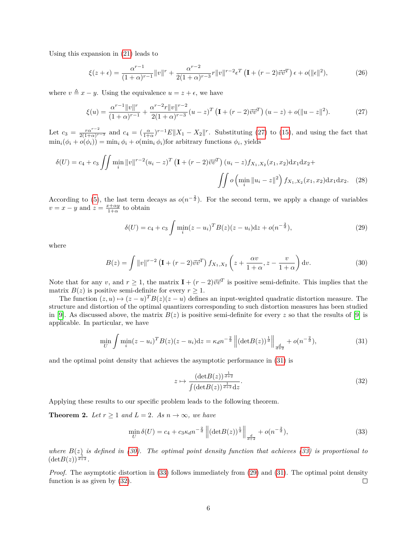Using this expansion in [\(21\)](#page-4-3) leads to

$$
\xi(z+\epsilon) = \frac{\alpha^{r-1}}{(1+\alpha)^{r-1}} \|v\|^r + \frac{\alpha^{r-2}}{2(1+\alpha)^{r-3}} r \|v\|^{r-2} \epsilon^T \left( \mathbf{I} + (r-2)\vec{v}\vec{v}^T \right) \epsilon + o(\|\epsilon\|^2),\tag{26}
$$

where  $v \triangleq x - y$ . Using the equivalence  $u = z + \epsilon$ , we have

$$
\xi(u) = \frac{\alpha^{r-1} \|v\|^r}{(1+\alpha)^{r-1}} + \frac{\alpha^{r-2} r \|v\|^{r-2}}{2(1+\alpha)^{r-3}} (u-z)^T \left(\mathbf{I} + (r-2)\vec{v}\vec{v}^T\right) (u-z) + o(\|u-z\|^2). \tag{27}
$$

Let  $c_3 = \frac{r\alpha^{r-2}}{2(1+\alpha)^{r-3}}$  and  $c_4 = (\frac{\alpha}{1+\alpha})^{r-1}E\|X_1 - X_2\|^r$ . Substituting [\(27\)](#page-5-0) to [\(15\)](#page-3-5), and using the fact that  $\min_i(\phi_i + o(\phi_i)) = \min_i \phi_i + o(\min_i \phi_i)$ for arbitrary functions  $\phi_i$ , yields

$$
\delta(U) = c_4 + c_3 \iint \min_i \|v\|^{r-2} (u_i - z)^T \left(\mathbf{I} + (r-2)\vec{v}\vec{v}^T\right) (u_i - z) f_{X_1, X_2}(x_1, x_2) \, dx_1 \, dx_2 + \iint o\left(\min_i \|u_i - z\|^2\right) f_{X_1, X_2}(x_1, x_2) \, dx_1 \, dx_2. \tag{28}
$$

According to [\(5\)](#page-2-3), the last term decays as  $o(n^{-\frac{2}{d}})$ . For the second term, we apply a change of variables  $v = x - y$  and  $z = \frac{x + \alpha y}{1 + \alpha}$  to obtain

<span id="page-5-4"></span><span id="page-5-0"></span>
$$
\delta(U) = c_4 + c_3 \int \min_i (z - u_i)^T B(z) (z - u_i) \mathrm{d}z + o(n^{-\frac{2}{d}}),\tag{29}
$$

where

$$
B(z) = \int ||v||^{r-2} \left(\mathbf{I} + (r-2)\vec{v}\vec{v}^T\right) f_{X_1, X_2} \left(z + \frac{\alpha v}{1+\alpha}, z - \frac{v}{1+\alpha}\right) dv.
$$
 (30)

Note that for any *v*, and  $r \geq 1$ , the matrix  $\mathbf{I} + (r-2)\vec{v}\vec{v}^T$  is positive semi-definite. This implies that the matrix  $B(z)$  is positive semi-definite for every  $r \geq 1$ .

The function  $(z, u) \mapsto (z - u)^T B(z) (z - u)$  defines an input-weighted quadratic distortion measure. The structure and distortion of the optimal quantizers corresponding to such distortion measures has been studied in [\[9\]](#page-11-2). As discussed above, the matrix  $B(z)$  is positive semi-definite for every *z* so that the results of [9] is applicable. In particular, we have

$$
\min_{U} \int \min_{i} (z - u_i)^T B(z) (z - u_i) dz = \kappa_d n^{-\frac{2}{d}} \left\| (\det B(z))^{\frac{1}{d}} \right\|_{\frac{d}{d+2}} + o(n^{-\frac{2}{d}}),\tag{31}
$$

and the optimal point density that achieves the asymptotic performance in [\(31\)](#page-5-1) is

<span id="page-5-5"></span><span id="page-5-3"></span><span id="page-5-2"></span><span id="page-5-1"></span>
$$
z \mapsto \frac{(\det B(z))^{\frac{1}{d+2}}}{\int (\det B(z))^{\frac{1}{d+2}} dz}.
$$
\n(32)

Applying these results to our specific problem leads to the following theorem.

<span id="page-5-6"></span>**Theorem 2.** *Let*  $r \geq 1$  *and*  $L = 2$ *. As*  $n \to \infty$ *, we have* 

$$
\min_{U} \delta(U) = c_4 + c_3 \kappa_d n^{-\frac{2}{d}} \left\| (\det B(z))^{\frac{1}{d}} \right\|_{\frac{d}{d+2}} + o(n^{-\frac{2}{d}}),\tag{33}
$$

*where*  $B(z)$  *is defined in [\(30\)](#page-5-2). The optimal point density function that achieves [\(33\)](#page-5-3) is proportional to*  $(\det B(z))^{\frac{1}{d+2}}$ .

*Proof.* The asymptotic distortion in [\(33\)](#page-5-3) follows immediately from [\(29\)](#page-5-4) and [\(31\)](#page-5-1). The optimal point density function is as given by [\(32\)](#page-5-5).  $\Box$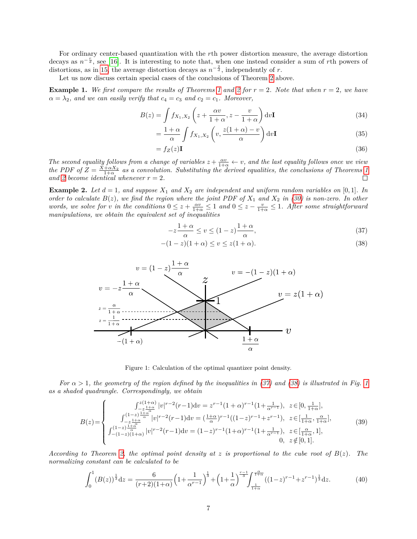For ordinary center-based quantization with the *r*th power distortion measure, the average distortion decays as  $n^{-\frac{r}{d}}$ , see [\[16\]](#page-11-9). It is interesting to note that, when one instead consider a sum of *r*th powers of distortions, as in [15,](#page-3-5) the average distortion decays as  $n^{-\frac{2}{d}}$ , independently of *r*.

Let us now discuss certain special cases of the conclusions of Theorem [2](#page-5-6) above.

**Example [1](#page-3-4).** We first compare the results of Theorems 1 and [2](#page-5-6) for  $r = 2$ . Note that when  $r = 2$ , we have  $\alpha = \lambda_2$ , and we can easily verify that  $c_4 = c_3$  and  $c_2 = c_1$ . Moreover,

$$
B(z) = \int f_{X_1, X_2} \left( z + \frac{\alpha v}{1 + \alpha}, z - \frac{v}{1 + \alpha} \right) dv
$$
 (34)

$$
= \frac{1+\alpha}{\alpha} \int f_{X_1,X_2} \left( v, \frac{z(1+\alpha)-v}{\alpha} \right) dv \mathbf{I}
$$
 (35)

$$
= f_Z(z)\mathbf{I} \tag{36}
$$

*The second equality follows from a change of variables*  $z + \frac{\alpha v}{1+\alpha} \leftarrow v$ , and the last equality follows once we view *the PDF of*  $Z = \frac{X + \alpha X_2}{1 + \alpha}$  as a convolution. Substituting the derived equalities, the conclusions of Theorems [1](#page-3-4) *and* [2](#page-5-6) *become identical whenever*  $r = 2$ *.* 

<span id="page-6-5"></span>**Example 2.** Let  $d = 1$ , and suppose  $X_1$  and  $X_2$  are independent and uniform random variables on [0,1]. In *order to calculate*  $B(z)$ , we find the region where the joint PDF of  $X_1$  and  $X_2$  in [\(30\)](#page-5-2) is non-zero. In other *words, we solve for v in the conditions*  $0 \leq z + \frac{\alpha v}{1+\alpha} \leq 1$  *and*  $0 \leq z - \frac{v}{1+\alpha} \leq 1$ *. After some straightforward manipulations, we obtain the equivalent set of inequalities*

<span id="page-6-1"></span><span id="page-6-0"></span>
$$
-z\frac{1+\alpha}{\alpha} \le v \le (1-z)\frac{1+\alpha}{\alpha},\tag{37}
$$

$$
-(1-z)(1+\alpha) \le v \le z(1+\alpha).
$$
 (38)

<span id="page-6-2"></span>

<span id="page-6-4"></span><span id="page-6-3"></span>Figure 1: Calculation of the optimal quantizer point density.

*For*  $\alpha > 1$  $\alpha > 1$ *, the geometry of the region defined by the inequalities in [\(37\)](#page-6-0) and [\(38\)](#page-6-1) is illustrated in Fig. 1 as a shaded quadrangle. Correspondingly, we obtain*

$$
B(z) = \begin{cases} \int_{-z}^{z(1+\alpha)} |v|^{r-2} (r-1) dv = z^{r-1} (1+\alpha)^{r-1} (1+\frac{1}{\alpha^{r-1}}), & z \in [0, \frac{1}{1+\alpha}],\\ \int_{-z}^{(1-z)} \frac{1+\alpha}{\alpha} |v|^{r-2} (r-1) dv = (\frac{1+\alpha}{\alpha})^{r-1} ((1-z)^{r-1} + z^{r-1}), & z \in [\frac{1}{1+\alpha}, \frac{\alpha}{1+\alpha}],\\ \int_{-(1-z)(1+\alpha)}^{(1-z)} \frac{1+\alpha}{\alpha} |v|^{r-2} (r-1) dv = (1-z)^{r-1} (1+\alpha)^{r-1} (1+\frac{1}{\alpha^{r-1}}), & z \in [\frac{\alpha}{1+\alpha}, 1],\\ 0, & z \notin [0, 1]. \end{cases}
$$
(39)

*According to Theorem [2,](#page-5-6) the optimal point density at z is proportional to the cube root of B*(*z*)*. The normalizing constant can be calculated to be*

$$
\int_0^1 (B(z))^{\frac{1}{3}} dz = \frac{6}{(r+2)(1+\alpha)} \left(1 + \frac{1}{\alpha^{r-1}}\right)^{\frac{1}{3}} + \left(1 + \frac{1}{\alpha}\right)^{\frac{r-1}{3}} \int_{\frac{1}{1+\alpha}}^{\frac{\alpha}{1+\alpha}} ((1-z)^{r-1} + z^{r-1})^{\frac{1}{3}} dz.
$$
 (40)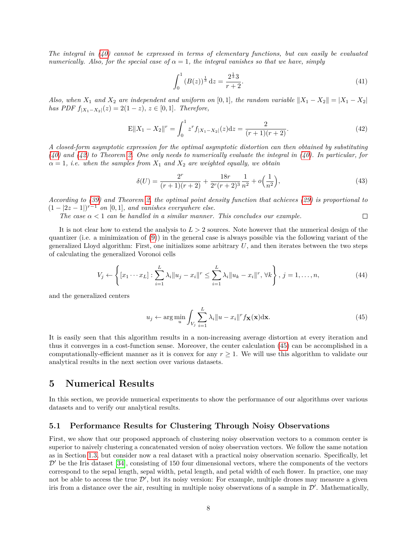*The integral in [\(40\)](#page-6-3) cannot be expressed in terms of elementary functions, but can easily be evaluated numerically. Also, for the special case of*  $\alpha = 1$ *, the integral vanishes so that we have, simply* 

<span id="page-7-1"></span>
$$
\int_0^1 (B(z))^{\frac{1}{3}} dz = \frac{2^{\frac{1}{3}} 3}{r+2}.
$$
\n(41)

*Also, when*  $X_1$  *and*  $X_2$  *are independent and uniform on* [0,1]*, the random variable*  $||X_1 - X_2|| = |X_1 - X_2|$ *has PDF*  $f_{|X_1 - X_2|}(z) = 2(1 − z), z ∈ [0, 1].$  Therefore,

$$
\mathbf{E}||X_1 - X_2||^r = \int_0^1 z^r f_{|X_1 - X_2|}(z) dz = \frac{2}{(r+1)(r+2)}.
$$
\n(42)

*A closed-form asymptotic expression for the optimal asymptotic distortion can then obtained by substituting [\(40\)](#page-6-3) and [\(42\)](#page-7-1) to Theorem [2.](#page-5-6) One only needs to numerically evaluate the integral in [\(40\)](#page-6-3). In particular, for*  $\alpha = 1$ , *i.e.* when the samples from  $X_1$  and  $X_2$  are weighted equally, we obtain

$$
\delta(U) = \frac{2^r}{(r+1)(r+2)} + \frac{18r}{2^r(r+2)^3} \frac{1}{n^2} + o\left(\frac{1}{n^2}\right),\tag{43}
$$

*According to [\(39\)](#page-6-4) and Theorem [2,](#page-5-6) the optimal point density function that achieves [\(29\)](#page-5-4) is proportional to*  $(1-|2z-1|)^{r-1}$  *on* [0, 1]*, and vanishes everywhere else.* 

*The case*  $\alpha < 1$  *can be handled in a similar manner. This concludes our example.*  $\Box$ 

It is not clear how to extend the analysis to *L >* 2 sources. Note however that the numerical design of the quantizer (i.e. a minimization of [\(9\)](#page-2-4)) in the general case is always possible via the following variant of the generalized Lloyd algorithm: First, one initializes some arbitrary *U*, and then iterates between the two steps of calculating the generalized Voronoi cells

$$
V_j \leftarrow \left\{ [x_1 \cdots x_L] : \sum_{i=1}^L \lambda_i \| u_j - x_i \|^r \le \sum_{i=1}^L \lambda_i \| u_k - x_i \|^r, \forall k \right\}, j = 1, \dots, n,
$$
\n(44)

and the generalized centers

<span id="page-7-2"></span>
$$
u_j \leftarrow \arg\min_u \int_{V_j} \sum_{i=1}^L \lambda_i \|u - x_i\|^r f_{\mathbf{X}}(\mathbf{x}) \mathrm{d}\mathbf{x}.\tag{45}
$$

It is easily seen that this algorithm results in a non-increasing average distortion at every iteration and thus it converges in a cost-function sense. Moreover, the center calculation [\(45\)](#page-7-2) can be accomplished in a computationally-efficient manner as it is convex for any  $r \geq 1$ . We will use this algorithm to validate our analytical results in the next section over various datasets.

### <span id="page-7-0"></span>**5 Numerical Results**

In this section, we provide numerical experiments to show the performance of our algorithms over various datasets and to verify our analytical results.

#### **5.1 Performance Results for Clustering Through Noisy Observations**

First, we show that our proposed approach of clustering noisy observation vectors to a common center is superior to naively clustering a concatenated version of noisy observation vectors. We follow the same notation as in Section [1.3,](#page-1-2) but consider now a real dataset with a practical noisy observation scenario. Specifically, let  $\mathcal{D}'$  be the Iris dataset [\[34\]](#page-12-5), consisting of 150 four dimensional vectors, where the components of the vectors correspond to the sepal length, sepal width, petal length, and petal width of each flower. In practice, one may not be able to access the true  $\mathcal{D}'$ , but its noisy version: For example, multiple drones may measure a given iris from a distance over the air, resulting in multiple noisy observations of a sample in  $\mathcal{D}'$ . Mathematically,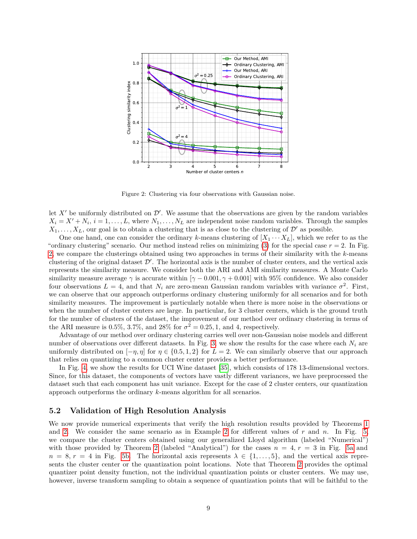<span id="page-8-0"></span>

Figure 2: Clustering via four observations with Gaussian noise.

let  $X'$  be uniformly distributed on  $\mathcal{D}'$ . We assume that the observations are given by the random variables  $X_i = X' + N_i$ ,  $i = 1, \ldots, L$ , where  $N_1, \ldots, N_L$  are independent noise random variables. Through the samples  $X_1, \ldots, X_L$ , our goal is to obtain a clustering that is as close to the clustering of  $\mathcal{D}'$  as possible.

One one hand, one can consider the ordinary *k*-means clustering of  $[X_1 \cdots X_L]$ , which we refer to as the "ordinary clustering" scenario. Our method instead relies on minimizing  $(3)$  for the special case  $r = 2$ . In Fig. [2,](#page-8-0) we compare the clusterings obtained using two approaches in terms of their similarity with the *k*-means clustering of the original dataset  $\mathcal{D}'$ . The horizontal axis is the number of cluster centers, and the vertical axis represents the similarity measure. We consider both the ARI and AMI similarity measures. A Monte Carlo similarity measure average  $\gamma$  is accurate within  $[\gamma - 0.001, \gamma + 0.001]$  with 95% confidence. We also consider four observations  $L = 4$ , and that  $N_i$  are zero-mean Gaussian random variables with variance  $\sigma^2$ . First, we can observe that our approach outperforms ordinary clustering uniformly for all scenarios and for both similarity measures. The improvement is particularly notable when there is more noise in the observations or when the number of cluster centers are large. In particular, for 3 cluster centers, which is the ground truth for the number of clusters of the dataset, the improvement of our method over ordinary clustering in terms of the ARI measure is 0.5%, 3.7%, and 28% for  $\sigma^2 = 0.25, 1$ , and 4, respectively.

Advantage of our method over ordinary clustering carries well over non-Gaussian noise models and different number of observations over different datasets. In Fig. [3,](#page-9-0) we show the results for the case where each  $N_i$  are uniformly distributed on  $[-\eta, \eta]$  for  $\eta \in \{0.5, 1, 2\}$  for  $L = 2$ . We can similarly observe that our approach that relies on quantizing to a common cluster center provides a better performance.

In Fig. [4,](#page-9-1) we show the results for UCI Wine dataset [\[35\]](#page-12-6), which consists of 178 13-dimensional vectors. Since, for this dataset, the components of vectors have vastly different variances, we have preprocessed the dataset such that each component has unit variance. Except for the case of 2 cluster centers, our quantization approach outperforms the ordinary *k*-means algorithm for all scenarios.

#### **5.2 Validation of High Resolution Analysis**

We now provide numerical experiments that verify the high resolution results provided by Theorems [1](#page-3-4) and [2.](#page-5-6) We consider the same scenario as in Example [2](#page-6-5) for different values of *r* and *n*. In Fig. [5,](#page-9-2) we compare the cluster centers obtained using our generalized Lloyd algorithm (labeled "Numerical") with those provided by Theorem [2](#page-5-6) (labeled "Analytical") for the cases  $n = 4, r = 3$  in Fig. [5a](#page-9-2) and  $n = 8, r = 4$  in Fig. [5b.](#page-9-2) The horizontal axis represents  $\lambda \in \{1, \ldots, 5\}$ , and the vertical axis represents the cluster center or the quantization point locations. Note that Theorem [2](#page-5-6) provides the optimal quantizer point density function, not the individual quantization points or cluster centers. We may use, however, inverse transform sampling to obtain a sequence of quantization points that will be faithful to the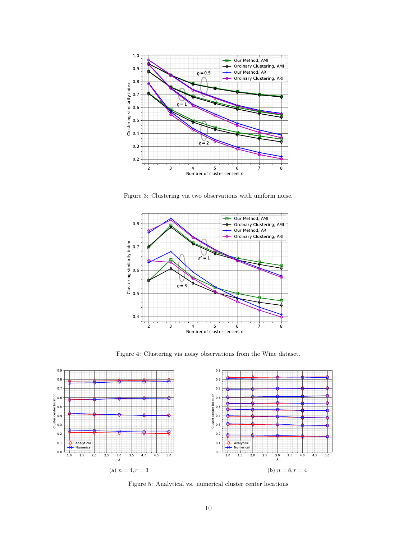<span id="page-9-0"></span>

Figure 3: Clustering via two observations with uniform noise.

<span id="page-9-1"></span>

Figure 4: Clustering via noisy observations from the Wine dataset.

<span id="page-9-2"></span>

Figure 5: Analytical vs. numerical cluster center locations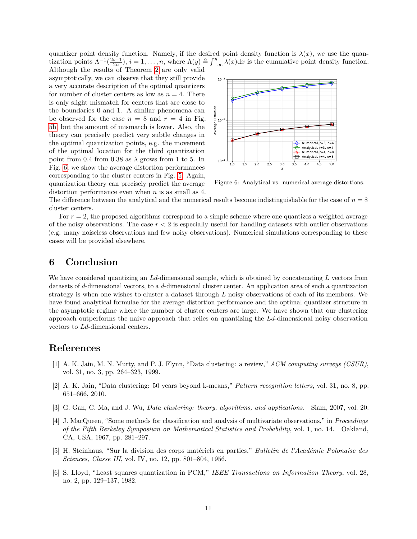quantizer point density function. Namely, if the desired point density function is  $\lambda(x)$ , we use the quantization points  $\Lambda^{-1}(\frac{2i-1}{2n})$ ,  $i=1,\ldots,n$ , where  $\Lambda(y) \triangleq \int_{-\infty}^{y} \lambda(x) dx$  is the cumulative point density function.

Although the results of Theorem [2](#page-5-6) are only valid asymptotically, we can observe that they still provide a very accurate description of the optimal quantizers for number of cluster centers as low as  $n = 4$ . There is only slight mismatch for centers that are close to the boundaries 0 and 1. A similar phenomena can be observed for the case  $n = 8$  and  $r = 4$  in Fig. [5b,](#page-9-2) but the amount of mismatch is lower. Also, the theory can precisely predict very subtle changes in the optimal quantization points, e.g. the movement of the optimal location for the third quantization point from 0.4 from 0.38 as  $\lambda$  grows from 1 to 5. In Fig. [6,](#page-10-5) we show the average distortion performances corresponding to the cluster centers in Fig. [5.](#page-9-2) Again, quantization theory can precisely predict the average distortion performance even when *n* is as small as 4.

<span id="page-10-5"></span>

Figure 6: Analytical vs. numerical average distortions.

The difference between the analytical and the numerical results become indistinguishable for the case of  $n = 8$ cluster centers.

For  $r = 2$ , the proposed algorithms correspond to a simple scheme where one quantizes a weighted average of the noisy observations. The case  $r < 2$  is especially useful for handling datasets with outlier observations (e.g. many noiseless observations and few noisy observations). Numerical simulations corresponding to these cases will be provided elsewhere.

### <span id="page-10-4"></span>**6 Conclusion**

We have considered quantizing an *Ld*-dimensional sample, which is obtained by concatenating *L* vectors from datasets of *d*-dimensional vectors, to a *d*-dimensional cluster center. An application area of such a quantization strategy is when one wishes to cluster a dataset through *L* noisy observations of each of its members. We have found analytical formulae for the average distortion performance and the optimal quantizer structure in the asymptotic regime where the number of cluster centers are large. We have shown that our clustering approach outperforms the naive approach that relies on quantizing the *Ld*-dimensional noisy observation vectors to *Ld*-dimensional centers.

### **References**

- <span id="page-10-0"></span>[1] A. K. Jain, M. N. Murty, and P. J. Flynn, "Data clustering: a review," *ACM computing surveys (CSUR)*, vol. 31, no. 3, pp. 264–323, 1999.
- [2] A. K. Jain, "Data clustering: 50 years beyond k-means," *Pattern recognition letters*, vol. 31, no. 8, pp. 651–666, 2010.
- <span id="page-10-1"></span>[3] G. Gan, C. Ma, and J. Wu, *Data clustering: theory, algorithms, and applications*. Siam, 2007, vol. 20.
- <span id="page-10-2"></span>[4] J. MacQueen, "Some methods for classification and analysis of multivariate observations," in *Proceedings of the Fifth Berkeley Symposium on Mathematical Statistics and Probability*, vol. 1, no. 14. Oakland, CA, USA, 1967, pp. 281–297.
- [5] H. Steinhaus, "Sur la division des corps matériels en parties," *Bulletin de l'Académie Polonaise des Sciences, Classe III*, vol. IV, no. 12, pp. 801–804, 1956.
- <span id="page-10-3"></span>[6] S. Lloyd, "Least squares quantization in PCM," *IEEE Transactions on Information Theory*, vol. 28, no. 2, pp. 129–137, 1982.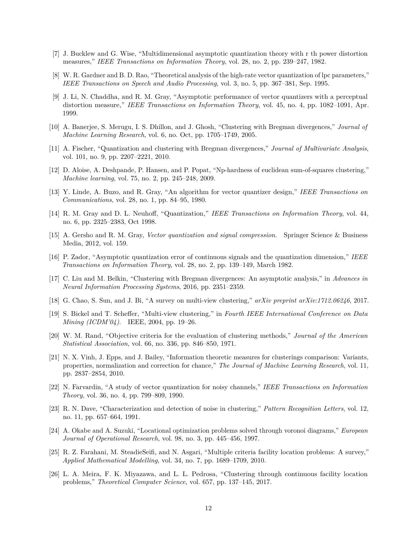- <span id="page-11-0"></span>[7] J. Bucklew and G. Wise, "Multidimensional asymptotic quantization theory with r th power distortion measures," *IEEE Transactions on Information Theory*, vol. 28, no. 2, pp. 239–247, 1982.
- <span id="page-11-1"></span>[8] W. R. Gardner and B. D. Rao, "Theoretical analysis of the high-rate vector quantization of lpc parameters," *IEEE Transactions on Speech and Audio Processing*, vol. 3, no. 5, pp. 367–381, Sep. 1995.
- <span id="page-11-2"></span>[9] J. Li, N. Chaddha, and R. M. Gray, "Asymptotic performance of vector quantizers with a perceptual distortion measure," *IEEE Transactions on Information Theory*, vol. 45, no. 4, pp. 1082–1091, Apr. 1999.
- <span id="page-11-3"></span>[10] A. Banerjee, S. Merugu, I. S. Dhillon, and J. Ghosh, "Clustering with Bregman divergences," *Journal of Machine Learning Research*, vol. 6, no. Oct, pp. 1705–1749, 2005.
- <span id="page-11-4"></span>[11] A. Fischer, "Quantization and clustering with Bregman divergences," *Journal of Multivariate Analysis*, vol. 101, no. 9, pp. 2207–2221, 2010.
- <span id="page-11-5"></span>[12] D. Aloise, A. Deshpande, P. Hansen, and P. Popat, "Np-hardness of euclidean sum-of-squares clustering," *Machine learning*, vol. 75, no. 2, pp. 245–248, 2009.
- <span id="page-11-6"></span>[13] Y. Linde, A. Buzo, and R. Gray, "An algorithm for vector quantizer design," *IEEE Transactions on Communications*, vol. 28, no. 1, pp. 84–95, 1980.
- <span id="page-11-7"></span>[14] R. M. Gray and D. L. Neuhoff, "Quantization," *IEEE Transactions on Information Theory*, vol. 44, no. 6, pp. 2325–2383, Oct 1998.
- <span id="page-11-8"></span>[15] A. Gersho and R. M. Gray, *Vector quantization and signal compression*. Springer Science & Business Media, 2012, vol. 159.
- <span id="page-11-9"></span>[16] P. Zador, "Asymptotic quantization error of continuous signals and the quantization dimension," *IEEE Transactions on Information Theory*, vol. 28, no. 2, pp. 139–149, March 1982.
- <span id="page-11-10"></span>[17] C. Liu and M. Belkin, "Clustering with Bregman divergences: An asymptotic analysis," in *Advances in Neural Information Processing Systems*, 2016, pp. 2351–2359.
- <span id="page-11-11"></span>[18] G. Chao, S. Sun, and J. Bi, "A survey on multi-view clustering," *arXiv preprint arXiv:1712.06246*, 2017.
- <span id="page-11-12"></span>[19] S. Bickel and T. Scheffer, "Multi-view clustering," in *Fourth IEEE International Conference on Data Mining (ICDM'04)*. IEEE, 2004, pp. 19–26.
- <span id="page-11-13"></span>[20] W. M. Rand, "Objective criteria for the evaluation of clustering methods," *Journal of the American Statistical Association*, vol. 66, no. 336, pp. 846–850, 1971.
- <span id="page-11-14"></span>[21] N. X. Vinh, J. Epps, and J. Bailey, "Information theoretic measures for clusterings comparison: Variants, properties, normalization and correction for chance," *The Journal of Machine Learning Research*, vol. 11, pp. 2837–2854, 2010.
- <span id="page-11-15"></span>[22] N. Farvardin, "A study of vector quantization for noisy channels," *IEEE Transactions on Information Theory*, vol. 36, no. 4, pp. 799–809, 1990.
- <span id="page-11-16"></span>[23] R. N. Dave, "Characterization and detection of noise in clustering," *Pattern Recognition Letters*, vol. 12, no. 11, pp. 657–664, 1991.
- <span id="page-11-17"></span>[24] A. Okabe and A. Suzuki, "Locational optimization problems solved through voronoi diagrams," *European Journal of Operational Research*, vol. 98, no. 3, pp. 445–456, 1997.
- <span id="page-11-18"></span>[25] R. Z. Farahani, M. SteadieSeifi, and N. Asgari, "Multiple criteria facility location problems: A survey," *Applied Mathematical Modelling*, vol. 34, no. 7, pp. 1689–1709, 2010.
- <span id="page-11-19"></span>[26] L. A. Meira, F. K. Miyazawa, and L. L. Pedrosa, "Clustering through continuous facility location problems," *Theoretical Computer Science*, vol. 657, pp. 137–145, 2017.